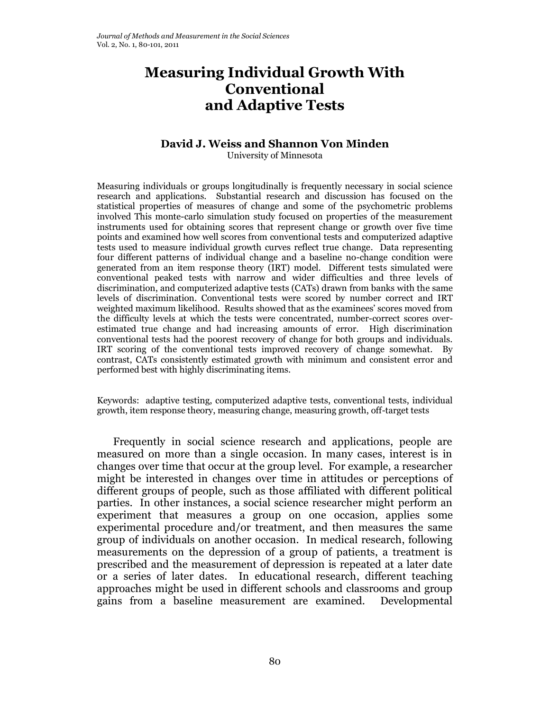# **Measuring Individual Growth With Conventional and Adaptive Tests**

# **David J. Weiss and Shannon Von Minden**

University of Minnesota

Measuring individuals or groups longitudinally is frequently necessary in social science research and applications. Substantial research and discussion has focused on the statistical properties of measures of change and some of the psychometric problems involved This monte-carlo simulation study focused on properties of the measurement instruments used for obtaining scores that represent change or growth over five time points and examined how well scores from conventional tests and computerized adaptive tests used to measure individual growth curves reflect true change. Data representing four different patterns of individual change and a baseline no-change condition were generated from an item response theory (IRT) model. Different tests simulated were conventional peaked tests with narrow and wider difficulties and three levels of discrimination, and computerized adaptive tests (CATs) drawn from banks with the same levels of discrimination. Conventional tests were scored by number correct and IRT weighted maximum likelihood. Results showed that as the examinees' scores moved from the difficulty levels at which the tests were concentrated, number-correct scores overestimated true change and had increasing amounts of error. High discrimination conventional tests had the poorest recovery of change for both groups and individuals. IRT scoring of the conventional tests improved recovery of change somewhat. By contrast, CATs consistently estimated growth with minimum and consistent error and performed best with highly discriminating items.

Keywords: adaptive testing, computerized adaptive tests, conventional tests, individual growth, item response theory, measuring change, measuring growth, off-target tests

Frequently in social science research and applications, people are measured on more than a single occasion. In many cases, interest is in changes over time that occur at the group level. For example, a researcher might be interested in changes over time in attitudes or perceptions of different groups of people, such as those affiliated with different political parties. In other instances, a social science researcher might perform an experiment that measures a group on one occasion, applies some experimental procedure and/or treatment, and then measures the same group of individuals on another occasion. In medical research, following measurements on the depression of a group of patients, a treatment is prescribed and the measurement of depression is repeated at a later date or a series of later dates. In educational research, different teaching approaches might be used in different schools and classrooms and group gains from a baseline measurement are examined. Developmental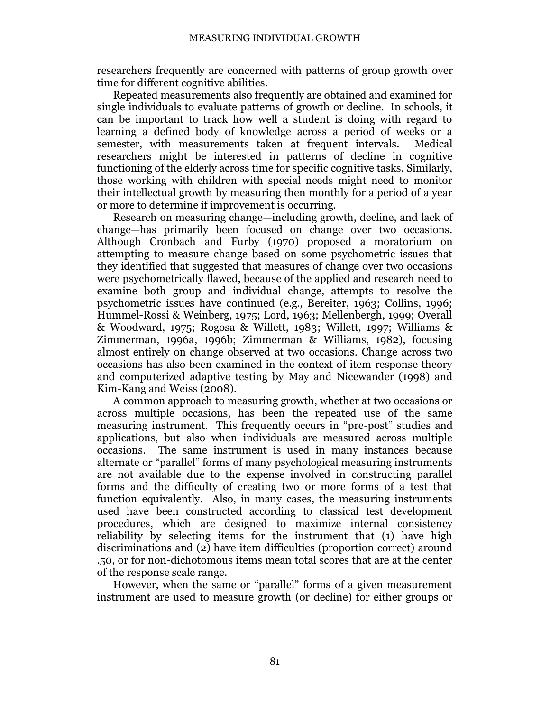researchers frequently are concerned with patterns of group growth over time for different cognitive abilities.

Repeated measurements also frequently are obtained and examined for single individuals to evaluate patterns of growth or decline. In schools, it can be important to track how well a student is doing with regard to learning a defined body of knowledge across a period of weeks or a semester, with measurements taken at frequent intervals. Medical researchers might be interested in patterns of decline in cognitive functioning of the elderly across time for specific cognitive tasks. Similarly, those working with children with special needs might need to monitor their intellectual growth by measuring then monthly for a period of a year or more to determine if improvement is occurring.

Research on measuring change—including growth, decline, and lack of change—has primarily been focused on change over two occasions. Although Cronbach and Furby (1970) proposed a moratorium on attempting to measure change based on some psychometric issues that they identified that suggested that measures of change over two occasions were psychometrically flawed, because of the applied and research need to examine both group and individual change, attempts to resolve the psychometric issues have continued (e.g., Bereiter, 1963; Collins, 1996; Hummel-Rossi & Weinberg, 1975; Lord, 1963; Mellenbergh, 1999; Overall & Woodward, 1975; Rogosa & Willett, 1983; Willett, 1997; Williams & Zimmerman, 1996a, 1996b; Zimmerman & Williams, 1982), focusing almost entirely on change observed at two occasions. Change across two occasions has also been examined in the context of item response theory and computerized adaptive testing by May and Nicewander (1998) and Kim-Kang and Weiss (2008).

A common approach to measuring growth, whether at two occasions or across multiple occasions, has been the repeated use of the same measuring instrument. This frequently occurs in "pre-post" studies and applications, but also when individuals are measured across multiple occasions. The same instrument is used in many instances because alternate or "parallel" forms of many psychological measuring instruments are not available due to the expense involved in constructing parallel forms and the difficulty of creating two or more forms of a test that function equivalently. Also, in many cases, the measuring instruments used have been constructed according to classical test development procedures, which are designed to maximize internal consistency reliability by selecting items for the instrument that (1) have high discriminations and (2) have item difficulties (proportion correct) around .50, or for non-dichotomous items mean total scores that are at the center of the response scale range.

However, when the same or "parallel" forms of a given measurement instrument are used to measure growth (or decline) for either groups or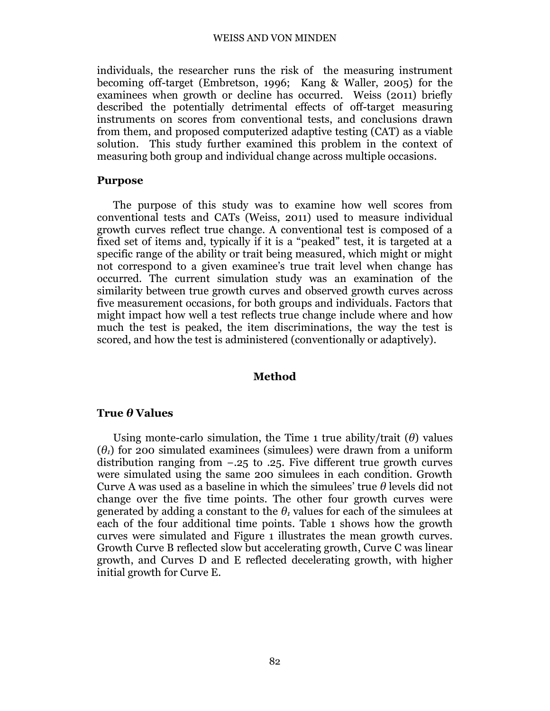individuals, the researcher runs the risk of the measuring instrument becoming off-target (Embretson, 1996; Kang & Waller, 2005) for the examinees when growth or decline has occurred. Weiss (2011) briefly described the potentially detrimental effects of off-target measuring instruments on scores from conventional tests, and conclusions drawn from them, and proposed computerized adaptive testing (CAT) as a viable solution. This study further examined this problem in the context of measuring both group and individual change across multiple occasions.

#### **Purpose**

The purpose of this study was to examine how well scores from conventional tests and CATs (Weiss, 2011) used to measure individual growth curves reflect true change. A conventional test is composed of a fixed set of items and, typically if it is a "peaked" test, it is targeted at a specific range of the ability or trait being measured, which might or might not correspond to a given examinee's true trait level when change has occurred. The current simulation study was an examination of the similarity between true growth curves and observed growth curves across five measurement occasions, for both groups and individuals. Factors that might impact how well a test reflects true change include where and how much the test is peaked, the item discriminations, the way the test is scored, and how the test is administered (conventionally or adaptively).

#### **Method**

#### **True** *θ* **Values**

Using monte-carlo simulation, the Time 1 true ability/trait (*θ*) values  $(\theta_1)$  for 200 simulated examinees (simulees) were drawn from a uniform distribution ranging from −.25 to .25. Five different true growth curves were simulated using the same 200 simulees in each condition. Growth Curve A was used as a baseline in which the simulees' true *θ* levels did not change over the five time points. The other four growth curves were generated by adding a constant to the  $\theta$ <sup>*t*</sup> values for each of the simulees at each of the four additional time points. Table 1 shows how the growth curves were simulated and Figure 1 illustrates the mean growth curves. Growth Curve B reflected slow but accelerating growth, Curve C was linear growth, and Curves D and E reflected decelerating growth, with higher initial growth for Curve E.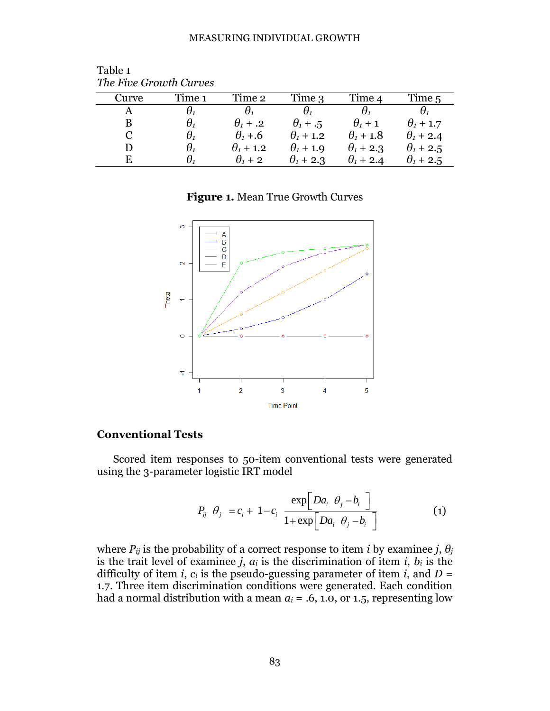| The Plue Orbital Carbes |                                  |                       |                  |                  |                  |  |  |  |  |  |  |
|-------------------------|----------------------------------|-----------------------|------------------|------------------|------------------|--|--|--|--|--|--|
| Curve                   | Time 1                           | Time 2                | Time 3           | Time 4           | Time 5           |  |  |  |  |  |  |
|                         | Η,                               | $\boldsymbol{\theta}$ |                  | Η,               |                  |  |  |  |  |  |  |
| B                       | $\theta_{\scriptscriptstyle{1}}$ | $\theta_1$ + .2       | $\theta_1 + .5$  | $\theta_1$ + 1   | $\theta_1$ + 1.7 |  |  |  |  |  |  |
| $\mathbf C$             | $\theta_{\scriptscriptstyle{1}}$ | $\theta_1 + 0.6$      | $\theta_1$ + 1.2 | $\theta_1$ + 1.8 | $\theta_1$ + 2.4 |  |  |  |  |  |  |
| D                       | $\theta_{\scriptscriptstyle{1}}$ | $\theta_1$ + 1.2      | $\theta_1$ + 1.9 | $\theta_1$ + 2.3 | $\theta_1$ + 2.5 |  |  |  |  |  |  |
| E.                      | $\theta_{\scriptscriptstyle{1}}$ | $\theta_1$ + 2        | $\theta_1$ + 2.3 | $\theta_1$ + 2.4 | $\theta_1$ + 2.5 |  |  |  |  |  |  |

Table 1 *The Five Growth Curves*

## **Figure 1.** Mean True Growth Curves



## **Conventional Tests**

Scored item responses to 50-item conventional tests were generated using the 3-parameter logistic IRT model

$$
P_{ij} \theta_j = c_i + 1 - c_i \frac{\exp\left[Da_i \theta_j - b_i\right]}{1 + \exp\left[Da_i \theta_j - b_i\right]}
$$
 (1)

where  $P_{ij}$  is the probability of a correct response to item *i* by examinee *j*,  $\theta_i$ is the trait level of examinee *j*,  $a_i$  is the discrimination of item *i*,  $b_i$  is the difficulty of item *i*,  $c_i$  is the pseudo-guessing parameter of item *i*, and  $D =$ 1.7. Three item discrimination conditions were generated. Each condition had a normal distribution with a mean  $a_i = .6, 1.0,$  or 1.5, representing low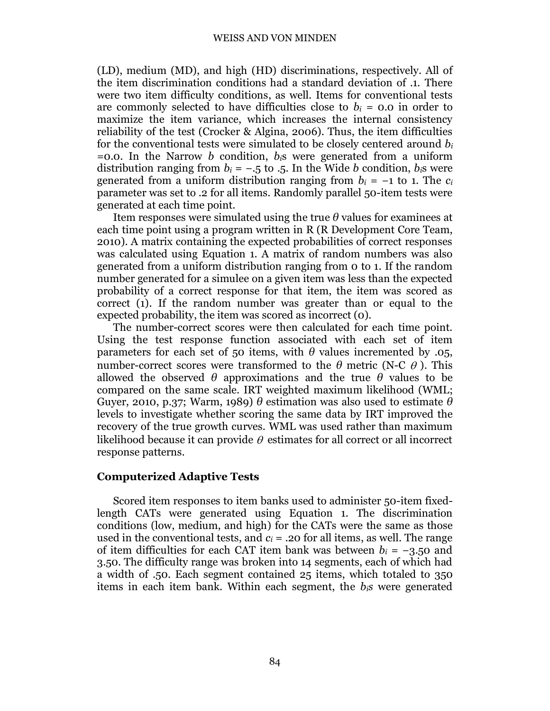(LD), medium (MD), and high (HD) discriminations, respectively. All of the item discrimination conditions had a standard deviation of .1. There were two item difficulty conditions, as well. Items for conventional tests are commonly selected to have difficulties close to  $b_i = 0.0$  in order to maximize the item variance, which increases the internal consistency reliability of the test (Crocker & Algina, 2006). Thus, the item difficulties for the conventional tests were simulated to be closely centered around *b<sup>i</sup>*  $=0.0$ . In the Narrow *b* condition,  $b_i$ <sup>s</sup> were generated from a uniform distribution ranging from  $b_i = -.5$  to  $.5$ . In the Wide *b* condition,  $b_i$ s were generated from a uniform distribution ranging from  $b_i = -1$  to 1. The  $c_i$ parameter was set to .2 for all items. Randomly parallel 50-item tests were generated at each time point.

Item responses were simulated using the true *θ* values for examinees at each time point using a program written in R (R Development Core Team, 2010). A matrix containing the expected probabilities of correct responses was calculated using Equation 1. A matrix of random numbers was also generated from a uniform distribution ranging from 0 to 1. If the random number generated for a simulee on a given item was less than the expected probability of a correct response for that item, the item was scored as correct (1). If the random number was greater than or equal to the expected probability, the item was scored as incorrect (0).

The number-correct scores were then calculated for each time point. Using the test response function associated with each set of item parameters for each set of 50 items, with  $\theta$  values incremented by .05, number-correct scores were transformed to the  $\theta$  metric (N-C  $\theta$ ). This allowed the observed  $\theta$  approximations and the true  $\theta$  values to be compared on the same scale. IRT weighted maximum likelihood (WML; Guyer, 2010, p.37; Warm, 1989) *θ* estimation was also used to estimate *θ* levels to investigate whether scoring the same data by IRT improved the recovery of the true growth curves. WML was used rather than maximum likelihood because it can provide  $\theta$  estimates for all correct or all incorrect response patterns.

#### **Computerized Adaptive Tests**

Scored item responses to item banks used to administer 50-item fixedlength CATs were generated using Equation 1. The discrimination conditions (low, medium, and high) for the CATs were the same as those used in the conventional tests, and  $c_i$  = .20 for all items, as well. The range of item difficulties for each CAT item bank was between  $b_i = -3.50$  and 3.50. The difficulty range was broken into 14 segments, each of which had a width of .50. Each segment contained 25 items, which totaled to 350 items in each item bank. Within each segment, the *bis* were generated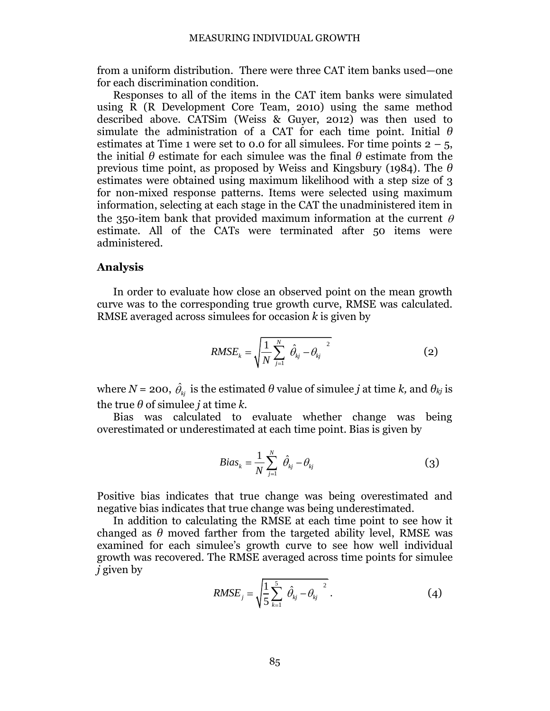from a uniform distribution. There were three CAT item banks used—one for each discrimination condition.

Responses to all of the items in the CAT item banks were simulated using R (R Development Core Team, 2010) using the same method described above. CATSim (Weiss & Guyer, 2012) was then used to simulate the administration of a CAT for each time point. Initial *θ* estimates at Time 1 were set to 0.0 for all simulees. For time points  $2 - 5$ , the initial  $\theta$  estimate for each simulee was the final  $\theta$  estimate from the previous time point, as proposed by Weiss and Kingsbury (1984). The *θ* estimates were obtained using maximum likelihood with a step size of 3 for non-mixed response patterns. Items were selected using maximum information, selecting at each stage in the CAT the unadministered item in the 350-item bank that provided maximum information at the current  $\theta$ estimate. All of the CATs were terminated after 50 items were administered.

### **Analysis**

In order to evaluate how close an observed point on the mean growth curve was to the corresponding true growth curve, RMSE was calculated. RMSE averaged across simulees for occasion *k* is given by

$$
RMSE_{k} = \sqrt{\frac{1}{N} \sum_{j=1}^{N} \hat{\theta}_{kj} - {\theta_{kj}}^{2}}
$$
 (2)

where  $N = 200$ ,  $\hat{\theta}_{kj}$  is the estimated  $\theta$  value of simulee  $j$  at time  $k$ , and  $\theta_{kj}$  is the true  $\theta$  of simulee *j* at time *k*.

Bias was calculated to evaluate whether change was being overestimated or underestimated at each time point. Bias is given by

$$
Bias_k = \frac{1}{N} \sum_{j=1}^{N} \hat{\theta}_{kj} - \theta_{kj}
$$
 (3)

Positive bias indicates that true change was being overestimated and negative bias indicates that true change was being underestimated.

In addition to calculating the RMSE at each time point to see how it changed as  $\theta$  moved farther from the targeted ability level, RMSE was examined for each simulee's growth curve to see how well individual growth was recovered. The RMSE averaged across time points for simulee *j* given by

$$
RMSE_{j} = \sqrt{\frac{1}{5} \sum_{k=1}^{5} \hat{\theta}_{kj} - \theta_{kj}^{2}}.
$$
 (4)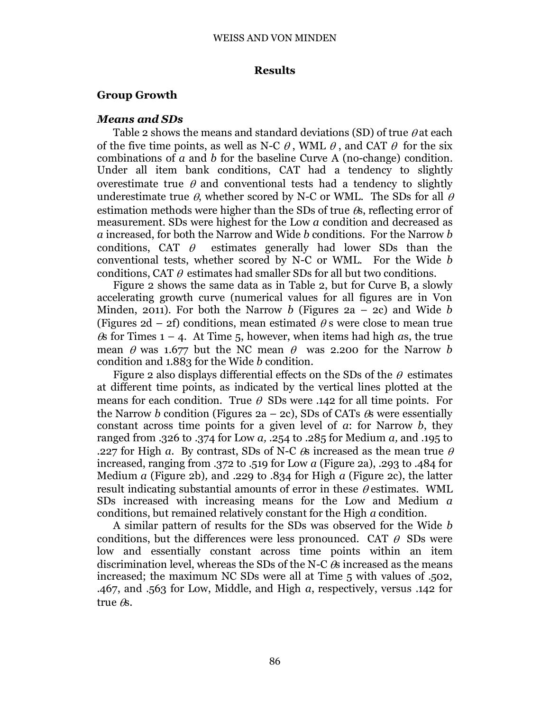## **Results**

# **Group Growth**

## *Means and SDs*

Table 2 shows the means and standard deviations (SD) of true  $\theta$  at each of the five time points, as well as N-C  $\theta$ , WML  $\theta$ , and CAT  $\theta$  for the six combinations of *a* and *b* for the baseline Curve A (no-change) condition. Under all item bank conditions, CAT had a tendency to slightly overestimate true  $\theta$  and conventional tests had a tendency to slightly underestimate true  $\theta$ , whether scored by N-C or WML. The SDs for all  $\theta$ estimation methods were higher than the SDs of true  $\&$ , reflecting error of measurement. SDs were highest for the Low *a* condition and decreased as *a* increased, for both the Narrow and Wide *b* conditions. For the Narrow *b* conditions, CAT  $\theta$  estimates generally had lower SDs than the conventional tests, whether scored by N-C or WML. For the Wide *b* conditions, CAT  $\theta$  estimates had smaller SDs for all but two conditions.

Figure 2 shows the same data as in Table 2, but for Curve B, a slowly accelerating growth curve (numerical values for all figures are in Von Minden, 2011). For both the Narrow *b* (Figures 2a – 2c) and Wide *b* (Figures 2d – 2f) conditions, mean estimated  $\theta$  s were close to mean true  $\&$  for Times 1 – 4. At Time 5, however, when items had high *as*, the true mean  $\theta$  was 1.677 but the NC mean  $\theta$  was 2.200 for the Narrow *b* condition and 1.883 for the Wide *b* condition.

Figure 2 also displays differential effects on the SDs of the  $\theta$  estimates at different time points, as indicated by the vertical lines plotted at the means for each condition. True  $\theta$  SDs were .142 for all time points. For the Narrow *b* condition (Figures 2a – 2c), SDs of CATs  $\&$  were essentially constant across time points for a given level of *a*: for Narrow *b*, they ranged from .326 to .374 for Low *a,* .254 to .285 for Medium *a,* and .195 to .227 for High *a*. By contrast, SDs of N-C  $\&$  increased as the mean true  $\theta$ increased, ranging from .372 to .519 for Low *a* (Figure 2a), .293 to .484 for Medium *a* (Figure 2b)*,* and .229 to .834 for High *a* (Figure 2c), the latter result indicating substantial amounts of error in these  $\theta$  estimates. WML SDs increased with increasing means for the Low and Medium *a* conditions, but remained relatively constant for the High *a* condition.

A similar pattern of results for the SDs was observed for the Wide *b* conditions, but the differences were less pronounced. CAT  $\theta$  SDs were low and essentially constant across time points within an item discrimination level, whereas the SDs of the N-C  $\&$  increased as the means increased; the maximum NC SDs were all at Time 5 with values of .502, .467, and .563 for Low, Middle, and High *a*, respectively, versus .142 for true  $\theta$ s.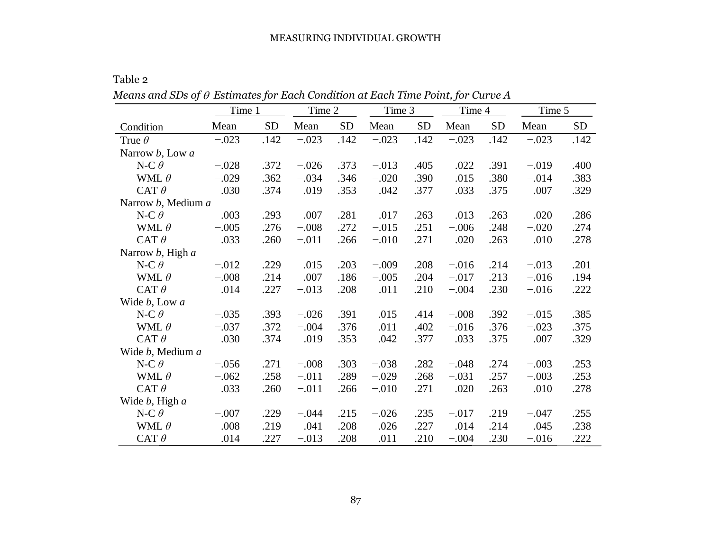Table 2

 $Means$  and  $SDs$  of  $\theta$   $Estimates$   $for$   $Each$   $Condition$   $at$   $Each$   $Time$   $Point, for$   $Curve$   $A$ 

|                                | Time 1  |           | Time 2  |           | Time 3  |           | Time 4  |           | Time 5  |           |
|--------------------------------|---------|-----------|---------|-----------|---------|-----------|---------|-----------|---------|-----------|
| Condition                      | Mean    | <b>SD</b> | Mean    | <b>SD</b> | Mean    | <b>SD</b> | Mean    | <b>SD</b> | Mean    | <b>SD</b> |
| True $\theta$                  | $-.023$ | .142      | $-.023$ | .142      | $-.023$ | .142      | $-.023$ | .142      | $-.023$ | .142      |
| Narrow <i>b</i> , Low <i>a</i> |         |           |         |           |         |           |         |           |         |           |
| N-C $\theta$                   | $-.028$ | .372      | $-.026$ | .373      | $-.013$ | .405      | .022    | .391      | $-.019$ | .400      |
| WML $\theta$                   | $-.029$ | .362      | $-.034$ | .346      | $-.020$ | .390      | .015    | .380      | $-.014$ | .383      |
| CAT $\theta$                   | .030    | .374      | .019    | .353      | .042    | .377      | .033    | .375      | .007    | .329      |
| Narrow b, Medium a             |         |           |         |           |         |           |         |           |         |           |
| N-C $\theta$                   | $-.003$ | .293      | $-.007$ | .281      | $-.017$ | .263      | $-.013$ | .263      | $-.020$ | .286      |
| WML $\theta$                   | $-.005$ | .276      | $-.008$ | .272      | $-.015$ | .251      | $-.006$ | .248      | $-.020$ | .274      |
| CAT $\theta$                   | .033    | .260      | $-.011$ | .266      | $-.010$ | .271      | .020    | .263      | .010    | .278      |
| Narrow b, High a               |         |           |         |           |         |           |         |           |         |           |
| N-C $\theta$                   | $-.012$ | .229      | .015    | .203      | $-.009$ | .208      | $-.016$ | .214      | $-.013$ | .201      |
| WML $\theta$                   | $-.008$ | .214      | .007    | .186      | $-.005$ | .204      | $-.017$ | .213      | $-.016$ | .194      |
| CAT $\theta$                   | .014    | .227      | $-.013$ | .208      | .011    | .210      | $-.004$ | .230      | $-.016$ | .222      |
| Wide b, Low a                  |         |           |         |           |         |           |         |           |         |           |
| N-C $\theta$                   | $-.035$ | .393      | $-.026$ | .391      | .015    | .414      | $-.008$ | .392      | $-.015$ | .385      |
| WML $\theta$                   | $-.037$ | .372      | $-.004$ | .376      | .011    | .402      | $-.016$ | .376      | $-.023$ | .375      |
| CAT $\theta$                   | .030    | .374      | .019    | .353      | .042    | .377      | .033    | .375      | .007    | .329      |
| Wide b, Medium a               |         |           |         |           |         |           |         |           |         |           |
| N-C $\theta$                   | $-.056$ | .271      | $-.008$ | .303      | $-.038$ | .282      | $-.048$ | .274      | $-.003$ | .253      |
| WML $\theta$                   | $-.062$ | .258      | $-.011$ | .289      | $-.029$ | .268      | $-.031$ | .257      | $-.003$ | .253      |
| CAT $\theta$                   | .033    | .260      | $-.011$ | .266      | $-.010$ | .271      | .020    | .263      | .010    | .278      |
| Wide $b$ , High $a$            |         |           |         |           |         |           |         |           |         |           |
| N-C $\theta$                   | $-.007$ | .229      | $-.044$ | .215      | $-.026$ | .235      | $-.017$ | .219      | $-.047$ | .255      |
| WML $\theta$                   | $-.008$ | .219      | $-.041$ | .208      | $-.026$ | .227      | $-.014$ | .214      | $-.045$ | .238      |
| CAT $\theta$                   | .014    | .227      | $-.013$ | .208      | .011    | .210      | $-.004$ | .230      | $-.016$ | .222      |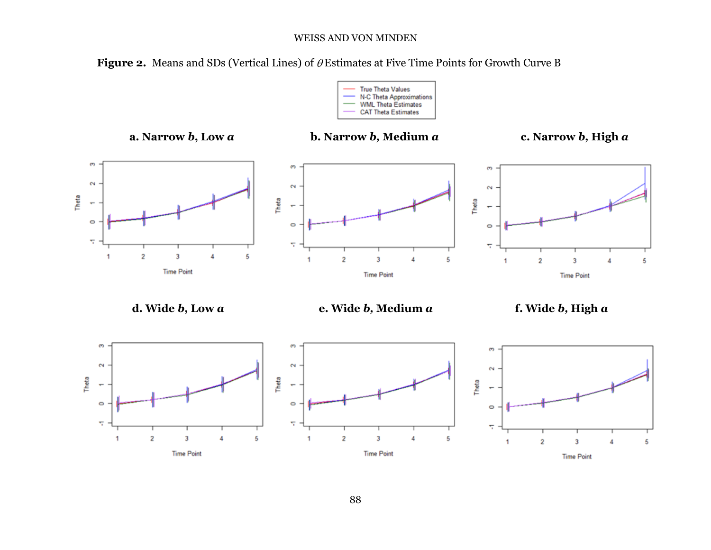Figure 2. Means and SDs (Vertical Lines) of  $\theta$  Estimates at Five Time Points for Growth Curve B



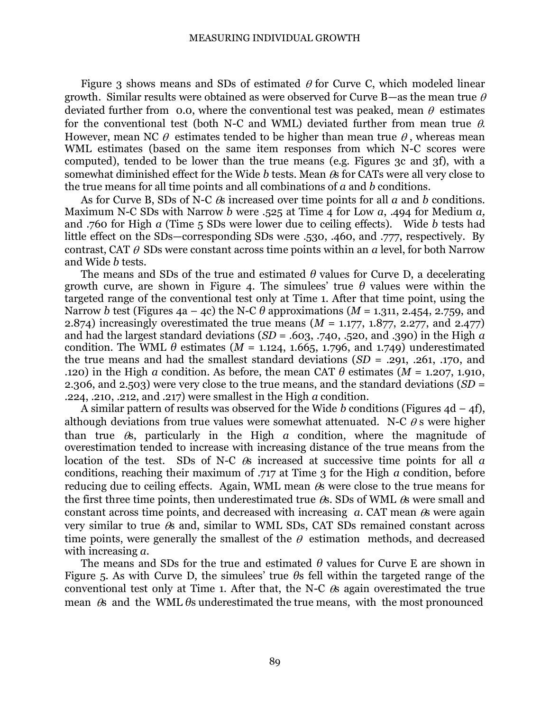Figure 3 shows means and SDs of estimated  $\theta$  for Curve C, which modeled linear growth. Similar results were obtained as were observed for Curve B—as the mean true  $\theta$ deviated further from 0.0, where the conventional test was peaked, mean  $\theta$  estimates for the conventional test (both N-C and WML) deviated further from mean true  $\theta$ . However, mean NC  $\theta$  estimates tended to be higher than mean true  $\theta$ , whereas mean WML estimates (based on the same item responses from which N-C scores were computed), tended to be lower than the true means (e.g. Figures 3c and 3f), with a somewhat diminished effect for the Wide  $b$  tests. Mean  $\theta$ s for CATs were all very close to the true means for all time points and all combinations of *a* and *b* conditions.

As for Curve B, SDs of N-C  $\&$  increased over time points for all  $a$  and  $b$  conditions. Maximum N-C SDs with Narrow *b* were .525 at Time 4 for Low *a*, .494 for Medium *a,* and .760 for High *a* (Time 5 SDs were lower due to ceiling effects). Wide *b* tests had little effect on the SDs—corresponding SDs were .530, .460, and .777, respectively. By contrast, CAT  $\theta$  SDs were constant across time points within an *a* level, for both Narrow and Wide *b* tests.

The means and SDs of the true and estimated *θ* values for Curve D, a decelerating growth curve, are shown in Figure 4. The simulees' true  $\theta$  values were within the targeted range of the conventional test only at Time 1. After that time point, using the Narrow *b* test (Figures 4a – 4c) the N-C  $\theta$  approximations (*M* = 1.311, 2.454, 2.759, and 2.874) increasingly overestimated the true means (*M* = 1.177, 1.877, 2.277, and 2.477) and had the largest standard deviations (*SD* = .603, .740, .520, and .390) in the High *a*  condition. The WML  $\theta$  estimates ( $M = 1.124, 1.665, 1.796,$  and 1.749) underestimated the true means and had the smallest standard deviations (*SD* = .291, .261, .170, and .120) in the High *a* condition. As before, the mean CAT  $\theta$  estimates (*M* = 1.207, 1.910, 2.306, and 2.503) were very close to the true means, and the standard deviations (*SD* = .224, .210, .212, and .217) were smallest in the High *a* condition.

A similar pattern of results was observed for the Wide *b* conditions (Figures 4d – 4f), although deviations from true values were somewhat attenuated. N-C  $\theta$  s were higher than true  $\&$ , particularly in the High  $a$  condition, where the magnitude of overestimation tended to increase with increasing distance of the true means from the location of the test. SDs of N-C  $\&$  increased at successive time points for all *a* conditions, reaching their maximum of .717 at Time 3 for the High *a* condition, before reducing due to ceiling effects. Again, WML mean  $\alpha$  were close to the true means for the first three time points, then underestimated true  $\&$ . SDs of WML  $\&$  were small and constant across time points, and decreased with increasing  $a$ . CAT mean  $a$  were again very similar to true  $\&$  and, similar to WML SDs, CAT SDs remained constant across time points, were generally the smallest of the  $\theta$  estimation methods, and decreased with increasing *a*.

The means and SDs for the true and estimated *θ* values for Curve E are shown in Figure 5. As with Curve D, the simulees' true *θ*s fell within the targeted range of the conventional test only at Time 1. After that, the N-C  $\&$  again overestimated the true mean  $\mathcal{R}$  and the WML  $\theta$ s underestimated the true means, with the most pronounced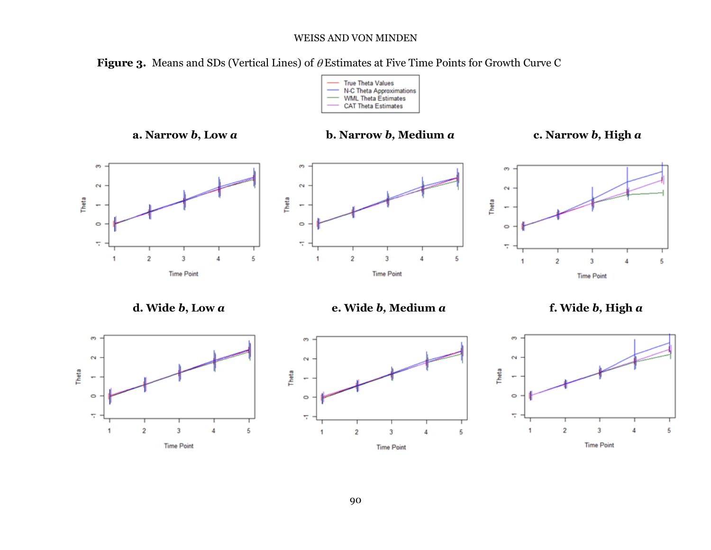Figure 3. Means and SDs (Vertical Lines) of  $\theta$  Estimates at Five Time Points for Growth Curve C



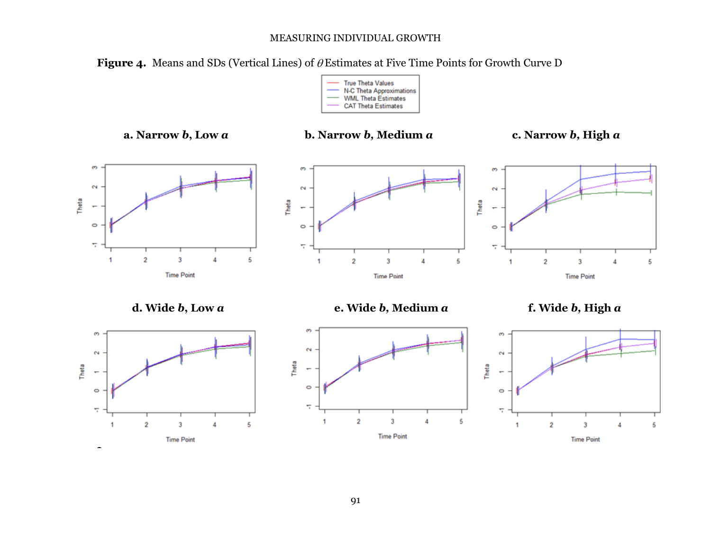**Figure 4.** Means and SDs (Vertical Lines) of  $\theta$  Estimates at Five Time Points for Growth Curve D



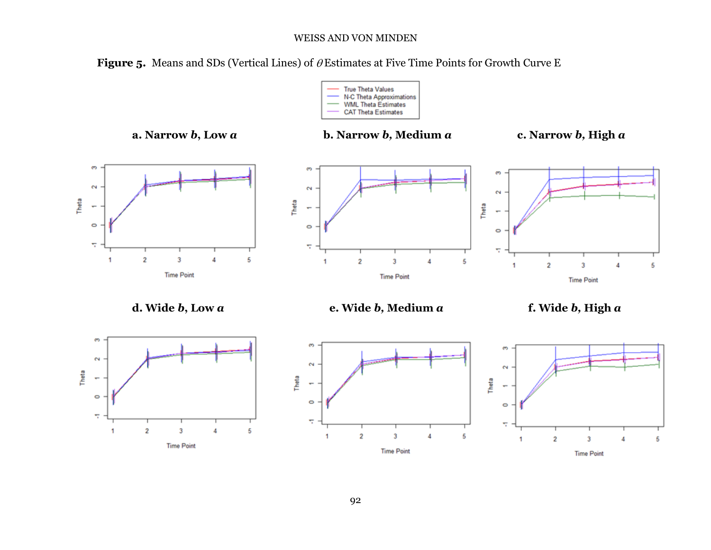**Figure 5.** Means and SDs (Vertical Lines) of  $\theta$  Estimates at Five Time Points for Growth Curve E

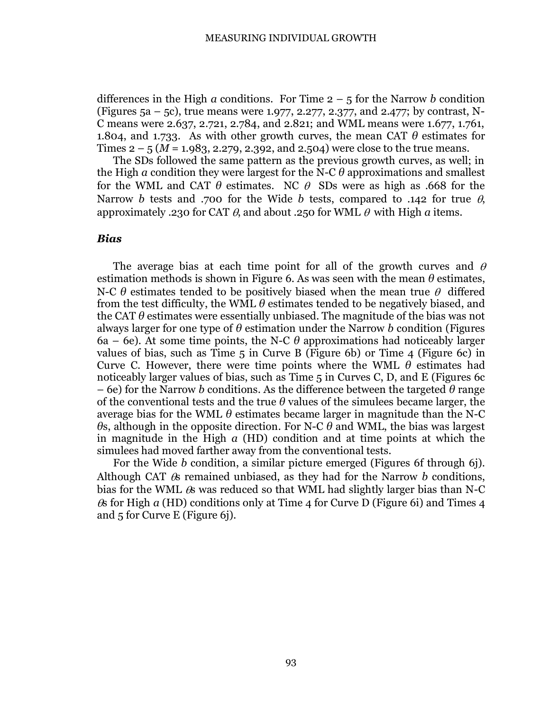differences in the High *a* conditions. For Time  $2 - 5$  for the Narrow *b* condition (Figures 5a – 5c), true means were 1.977, 2.277, 2.377, and 2.477; by contrast, N-C means were 2.637, 2.721, 2.784, and 2.821; and WML means were 1.677, 1.761, 1.804, and 1.733. As with other growth curves, the mean CAT *θ* estimates for Times  $2 - 5$  ( $M = 1.983$ , 2.279, 2.392, and 2.504) were close to the true means.

The SDs followed the same pattern as the previous growth curves, as well; in the High *a* condition they were largest for the N-C *θ* approximations and smallest for the WML and CAT  $\theta$  estimates. NC  $\theta$  SDs were as high as .668 for the Narrow *b* tests and .700 for the Wide *b* tests, compared to .142 for true  $\theta$ . approximately .230 for CAT  $\theta$ , and about .250 for WML  $\theta$  with High *a* items.

# *Bias*

The average bias at each time point for all of the growth curves and  $\theta$ estimation methods is shown in Figure 6. As was seen with the mean  $\theta$  estimates, N-C  $\theta$  estimates tended to be positively biased when the mean true  $\theta$  differed from the test difficulty, the WML  $\theta$  estimates tended to be negatively biased, and the CAT  $\theta$  estimates were essentially unbiased. The magnitude of the bias was not always larger for one type of *θ* estimation under the Narrow *b* condition (Figures 6a – 6e). At some time points, the N-C  $\theta$  approximations had noticeably larger values of bias, such as Time  $5$  in Curve B (Figure 6b) or Time  $4$  (Figure 6c) in Curve C. However, there were time points where the WML  $\theta$  estimates had noticeably larger values of bias, such as Time 5 in Curves C, D, and E (Figures 6c – 6e) for the Narrow *b* conditions. As the difference between the targeted *θ* range of the conventional tests and the true  $\theta$  values of the simulees became larger, the average bias for the WML  $\theta$  estimates became larger in magnitude than the N-C *θ*s, although in the opposite direction. For N-C *θ* and WML, the bias was largest in magnitude in the High *a* (HD) condition and at time points at which the simulees had moved farther away from the conventional tests.

For the Wide *b* condition, a similar picture emerged (Figures 6f through 6j). Although CAT  $\&$  remained unbiased, as they had for the Narrow  *conditions,* bias for the WML  $\&$  was reduced so that WML had slightly larger bias than N-C s for High *a* (HD) conditions only at Time 4 for Curve D (Figure 6i) and Times 4 and 5 for Curve E (Figure 6j).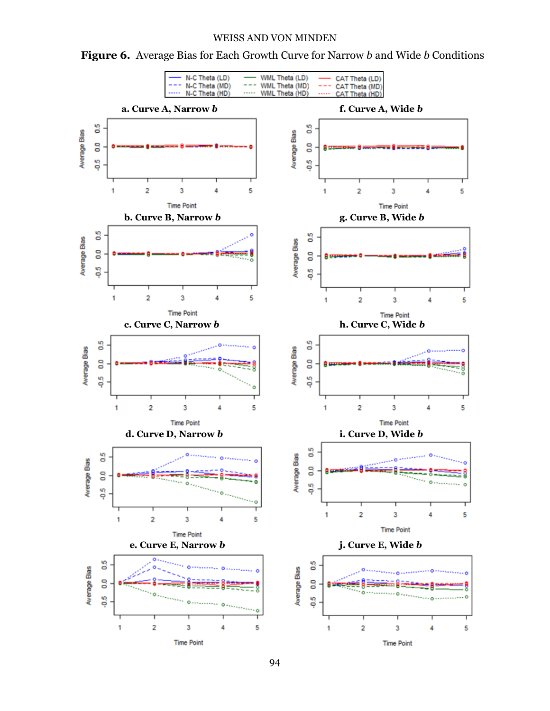

**Figure 6.** Average Bias for Each Growth Curve for Narrow *b* and Wide *b* Conditions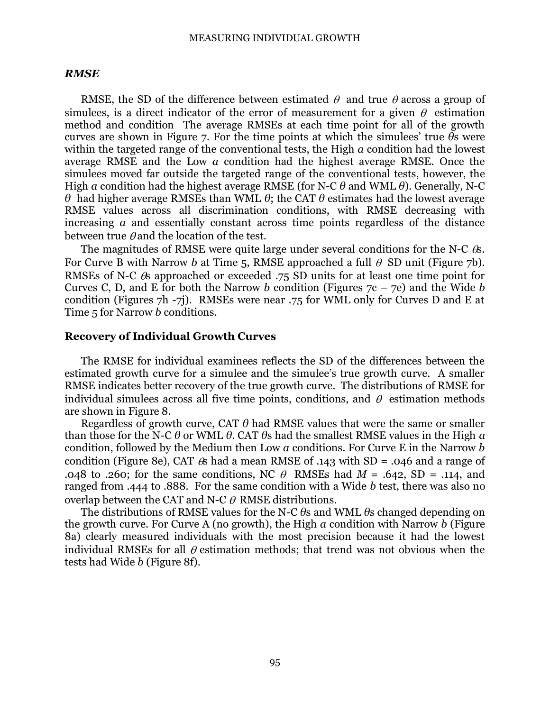#### *RMSE*

RMSE, the SD of the difference between estimated  $\theta$  and true  $\theta$  across a group of simulees, is a direct indicator of the error of measurement for a given  $\theta$  estimation method and condition The average RMSEs at each time point for all of the growth curves are shown in Figure 7. For the time points at which the simulees' true *θ*s were within the targeted range of the conventional tests, the High *a* condition had the lowest average RMSE and the Low *a* condition had the highest average RMSE. Once the simulees moved far outside the targeted range of the conventional tests, however, the High *a* condition had the highest average RMSE (for N-C *θ* and WML *θ*). Generally, N-C *θ* had higher average RMSEs than WML *θ*; the CAT *θ* estimates had the lowest average RMSE values across all discrimination conditions, with RMSE decreasing with increasing *a* and essentially constant across time points regardless of the distance between true  $\theta$  and the location of the test.

The magnitudes of RMSE were quite large under several conditions for the N-C  $\&$ . For Curve B with Narrow *b* at Time 5, RMSE approached a full  $\theta$  SD unit (Figure 7b). RMSEs of N-C  $\&$  approached or exceeded .75 SD units for at least one time point for Curves C, D, and E for both the Narrow *b* condition (Figures 7c – 7e) and the Wide *b* condition (Figures 7h -7j). RMSEs were near .75 for WML only for Curves D and E at Time 5 for Narrow *b* conditions.

#### **Recovery of Individual Growth Curves**

The RMSE for individual examinees reflects the SD of the differences between the estimated growth curve for a simulee and the simulee's true growth curve. A smaller RMSE indicates better recovery of the true growth curve. The distributions of RMSE for individual simulees across all five time points, conditions, and  $\theta$  estimation methods are shown in Figure 8.

Regardless of growth curve, CAT  $\theta$  had RMSE values that were the same or smaller than those for the N-C *θ* or WML *θ*. CAT *θ*s had the smallest RMSE values in the High *a* condition, followed by the Medium then Low *a* conditions. For Curve E in the Narrow *b*  condition (Figure 8e), CAT  $\&$  had a mean RMSE of .143 with SD = .046 and a range of .048 to .260; for the same conditions, NC  $\theta$  RMSEs had  $M = .642$ , SD = .114, and ranged from .444 to .888. For the same condition with a Wide *b* test, there was also no overlap between the CAT and N-C  $\theta$  RMSE distributions.

The distributions of RMSE values for the N-C *θ*s and WML *θ*s changed depending on the growth curve. For Curve A (no growth), the High *a* condition with Narrow *b* (Figure 8a) clearly measured individuals with the most precision because it had the lowest individual RMSEs for all  $\theta$  estimation methods; that trend was not obvious when the tests had Wide *b* (Figure 8f).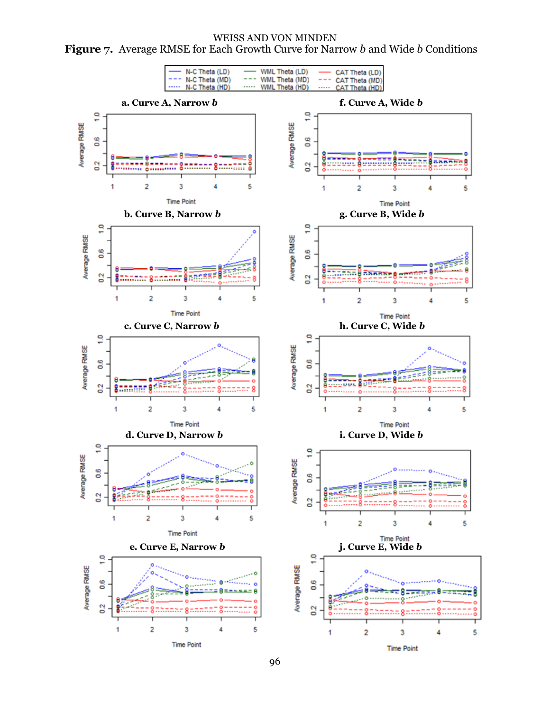WEISS AND VON MINDEN **Figure 7.** Average RMSE for Each Growth Curve for Narrow *b* and Wide *b* Conditions

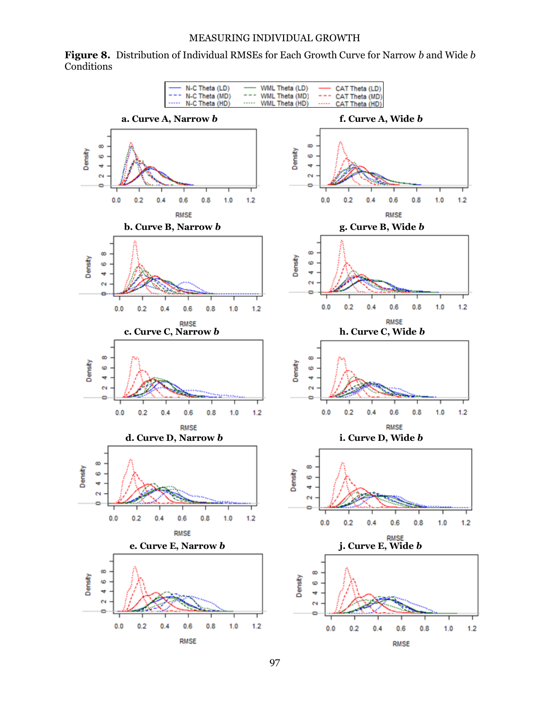**Figure 8.** Distribution of Individual RMSEs for Each Growth Curve for Narrow *b* and Wide *b*  **Conditions** 

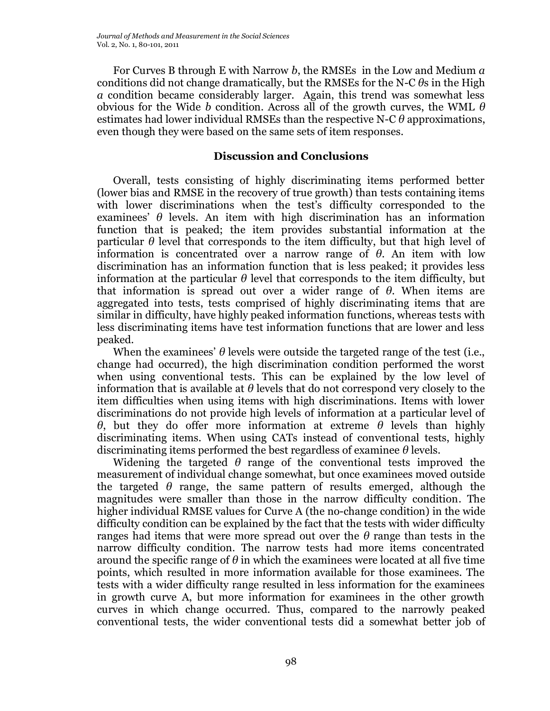For Curves B through E with Narrow *b*, the RMSEs in the Low and Medium *a* conditions did not change dramatically, but the RMSEs for the N-C *θ*s in the High *a* condition became considerably larger. Again, this trend was somewhat less obvious for the Wide *b* condition. Across all of the growth curves, the WML *θ* estimates had lower individual RMSEs than the respective N-C *θ* approximations, even though they were based on the same sets of item responses.

# **Discussion and Conclusions**

Overall, tests consisting of highly discriminating items performed better (lower bias and RMSE in the recovery of true growth) than tests containing items with lower discriminations when the test's difficulty corresponded to the examinees'  $\theta$  levels. An item with high discrimination has an information function that is peaked; the item provides substantial information at the particular  $\theta$  level that corresponds to the item difficulty, but that high level of information is concentrated over a narrow range of *θ*. An item with low discrimination has an information function that is less peaked; it provides less information at the particular *θ* level that corresponds to the item difficulty, but that information is spread out over a wider range of *θ*. When items are aggregated into tests, tests comprised of highly discriminating items that are similar in difficulty, have highly peaked information functions, whereas tests with less discriminating items have test information functions that are lower and less peaked.

When the examinees' *θ* levels were outside the targeted range of the test (i.e., change had occurred), the high discrimination condition performed the worst when using conventional tests. This can be explained by the low level of information that is available at *θ* levels that do not correspond very closely to the item difficulties when using items with high discriminations. Items with lower discriminations do not provide high levels of information at a particular level of *θ*, but they do offer more information at extreme *θ* levels than highly discriminating items. When using CATs instead of conventional tests, highly discriminating items performed the best regardless of examinee *θ* levels.

Widening the targeted  $\theta$  range of the conventional tests improved the measurement of individual change somewhat, but once examinees moved outside the targeted  $\theta$  range, the same pattern of results emerged, although the magnitudes were smaller than those in the narrow difficulty condition. The higher individual RMSE values for Curve A (the no-change condition) in the wide difficulty condition can be explained by the fact that the tests with wider difficulty ranges had items that were more spread out over the *θ* range than tests in the narrow difficulty condition. The narrow tests had more items concentrated around the specific range of *θ* in which the examinees were located at all five time points, which resulted in more information available for those examinees. The tests with a wider difficulty range resulted in less information for the examinees in growth curve A, but more information for examinees in the other growth curves in which change occurred. Thus, compared to the narrowly peaked conventional tests, the wider conventional tests did a somewhat better job of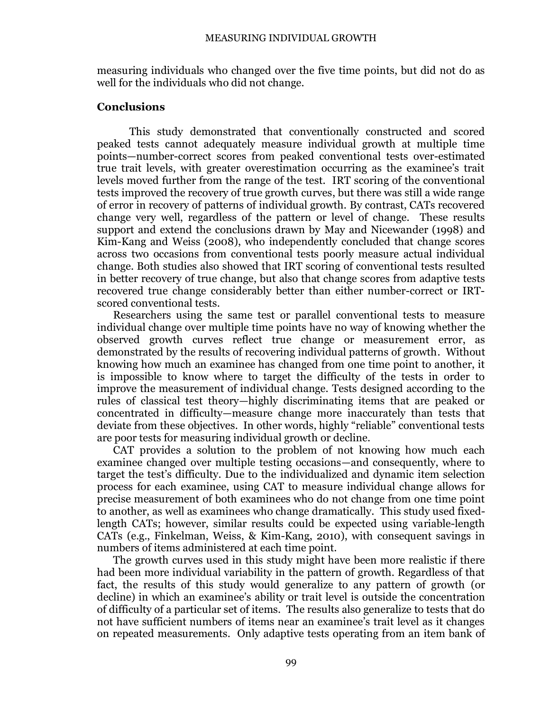measuring individuals who changed over the five time points, but did not do as well for the individuals who did not change.

## **Conclusions**

This study demonstrated that conventionally constructed and scored peaked tests cannot adequately measure individual growth at multiple time points—number-correct scores from peaked conventional tests over-estimated true trait levels, with greater overestimation occurring as the examinee's trait levels moved further from the range of the test. IRT scoring of the conventional tests improved the recovery of true growth curves, but there was still a wide range of error in recovery of patterns of individual growth. By contrast, CATs recovered change very well, regardless of the pattern or level of change. These results support and extend the conclusions drawn by May and Nicewander (1998) and Kim-Kang and Weiss (2008), who independently concluded that change scores across two occasions from conventional tests poorly measure actual individual change. Both studies also showed that IRT scoring of conventional tests resulted in better recovery of true change, but also that change scores from adaptive tests recovered true change considerably better than either number-correct or IRTscored conventional tests.

Researchers using the same test or parallel conventional tests to measure individual change over multiple time points have no way of knowing whether the observed growth curves reflect true change or measurement error, as demonstrated by the results of recovering individual patterns of growth. Without knowing how much an examinee has changed from one time point to another, it is impossible to know where to target the difficulty of the tests in order to improve the measurement of individual change. Tests designed according to the rules of classical test theory—highly discriminating items that are peaked or concentrated in difficulty—measure change more inaccurately than tests that deviate from these objectives. In other words, highly "reliable" conventional tests are poor tests for measuring individual growth or decline.

CAT provides a solution to the problem of not knowing how much each examinee changed over multiple testing occasions—and consequently, where to target the test's difficulty. Due to the individualized and dynamic item selection process for each examinee, using CAT to measure individual change allows for precise measurement of both examinees who do not change from one time point to another, as well as examinees who change dramatically. This study used fixedlength CATs; however, similar results could be expected using variable-length CATs (e.g., Finkelman, Weiss, & Kim-Kang, 2010), with consequent savings in numbers of items administered at each time point.

The growth curves used in this study might have been more realistic if there had been more individual variability in the pattern of growth. Regardless of that fact, the results of this study would generalize to any pattern of growth (or decline) in which an examinee's ability or trait level is outside the concentration of difficulty of a particular set of items. The results also generalize to tests that do not have sufficient numbers of items near an examinee's trait level as it changes on repeated measurements. Only adaptive tests operating from an item bank of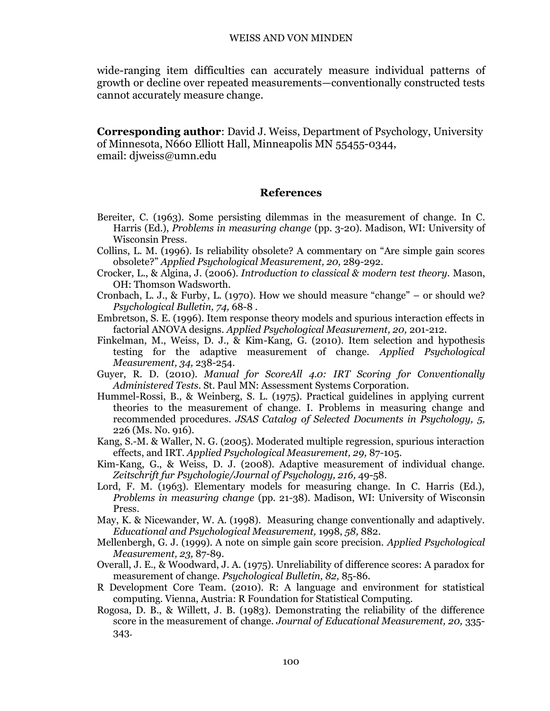wide-ranging item difficulties can accurately measure individual patterns of growth or decline over repeated measurements—conventionally constructed tests cannot accurately measure change.

**Corresponding author**: David J. Weiss, Department of Psychology, University of Minnesota, N660 Elliott Hall, Minneapolis MN 55455-0344, email: diweiss@umn.edu

## **References**

- Bereiter, C. (1963). Some persisting dilemmas in the measurement of change. In C. Harris (Ed.), *Problems in measuring change* (pp. 3-20). Madison, WI: University of Wisconsin Press.
- Collins, L. M. (1996). Is reliability obsolete? A commentary on "Are simple gain scores obsolete?" *Applied Psychological Measurement, 20,* 289-292.
- Crocker, L., & Algina, J. (2006). *Introduction to classical & modern test theory.* Mason, OH: Thomson Wadsworth.
- Cronbach, L. J., & Furby, L. (1970). How we should measure "change" or should we? *Psychological Bulletin, 74,* 68-8 .
- Embretson, S. E. (1996). Item response theory models and spurious interaction effects in factorial ANOVA designs. *Applied Psychological Measurement, 20,* 201-212.
- Finkelman, M., Weiss, D. J., & Kim-Kang, G. (2010). Item selection and hypothesis testing for the adaptive measurement of change. *Applied Psychological Measurement, 34,* 238-254.
- Guyer, R. D. (2010). *Manual for ScoreAll 4.0: IRT Scoring for Conventionally Administered Tests.* St. Paul MN: Assessment Systems Corporation.
- Hummel-Rossi, B., & Weinberg, S. L. (1975). Practical guidelines in applying current theories to the measurement of change. I. Problems in measuring change and recommended procedures. *JSAS Catalog of Selected Documents in Psychology, 5,* 226 (Ms. No. 916).
- Kang, S.-M. & Waller, N. G. (2005). Moderated multiple regression, spurious interaction effects, and IRT. *Applied Psychological Measurement, 29,* 87-105.
- Kim-Kang, G., & Weiss, D. J. (2008). Adaptive measurement of individual change. *Zeitschrift fur Psychologie/Journal of Psychology, 216,* 49-58.
- Lord, F. M. (1963). Elementary models for measuring change. In C. Harris (Ed.), *Problems in measuring change* (pp. 21-38). Madison, WI: University of Wisconsin Press.
- May, K. & Nicewander, W. A. (1998). Measuring change conventionally and adaptively. *Educational and Psychological Measurement,* 1998, *58,* 882.
- Mellenbergh, G. J. (1999). A note on simple gain score precision. *Applied Psychological Measurement, 23,* 87-89.
- Overall, J. E., & Woodward, J. A. (1975). Unreliability of difference scores: A paradox for measurement of change. *Psychological Bulletin, 82,* 85-86.
- R Development Core Team. (2010). R: A language and environment for statistical computing. Vienna, Austria: R Foundation for Statistical Computing.
- Rogosa, D. B., & Willett, J. B. (1983). Demonstrating the reliability of the difference score in the measurement of change. *Journal of Educational Measurement, 20,* 335- 343.